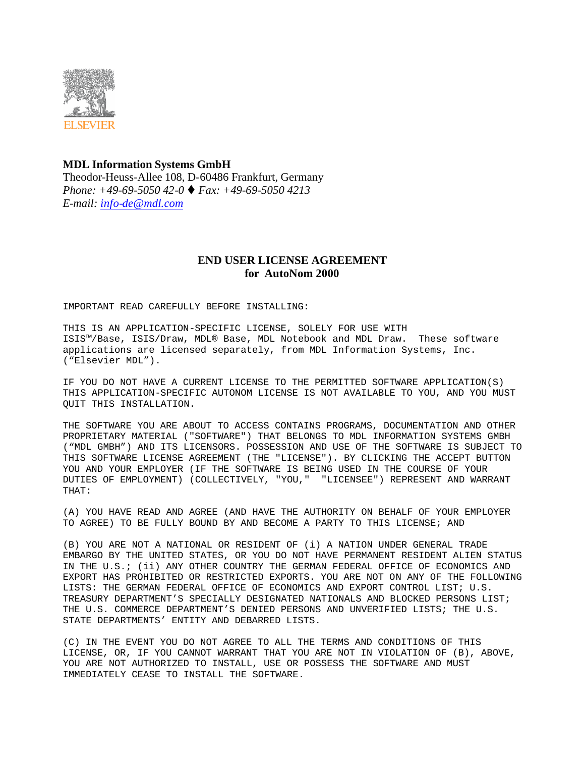

## **MDL Information Systems GmbH**  Theodor-Heuss-Allee 108, D-60486 Frankfurt, Germany *Phone: +49-69-5050 42-0* t *Fax: +49-69-5050 4213 E-mail: info-de@mdl.com*

## **END USER LICENSE AGREEMENT for AutoNom 2000**

IMPORTANT READ CAREFULLY BEFORE INSTALLING:

THIS IS AN APPLICATION-SPECIFIC LICENSE, SOLELY FOR USE WITH ISIS™/Base, ISIS/Draw, MDL® Base, MDL Notebook and MDL Draw. These software applications are licensed separately, from MDL Information Systems, Inc. ("Elsevier MDL").

IF YOU DO NOT HAVE A CURRENT LICENSE TO THE PERMITTED SOFTWARE APPLICATION(S) THIS APPLICATION-SPECIFIC AUTONOM LICENSE IS NOT AVAILABLE TO YOU, AND YOU MUST QUIT THIS INSTALLATION.

THE SOFTWARE YOU ARE ABOUT TO ACCESS CONTAINS PROGRAMS, DOCUMENTATION AND OTHER PROPRIETARY MATERIAL ("SOFTWARE") THAT BELONGS TO MDL INFORMATION SYSTEMS GMBH ("MDL GMBH") AND ITS LICENSORS. POSSESSION AND USE OF THE SOFTWARE IS SUBJECT TO THIS SOFTWARE LICENSE AGREEMENT (THE "LICENSE"). BY CLICKING THE ACCEPT BUTTON YOU AND YOUR EMPLOYER (IF THE SOFTWARE IS BEING USED IN THE COURSE OF YOUR DUTIES OF EMPLOYMENT) (COLLECTIVELY, "YOU," "LICENSEE") REPRESENT AND WARRANT THAT:

(A) YOU HAVE READ AND AGREE (AND HAVE THE AUTHORITY ON BEHALF OF YOUR EMPLOYER TO AGREE) TO BE FULLY BOUND BY AND BECOME A PARTY TO THIS LICENSE; AND

(B) YOU ARE NOT A NATIONAL OR RESIDENT OF (i) A NATION UNDER GENERAL TRADE EMBARGO BY THE UNITED STATES, OR YOU DO NOT HAVE PERMANENT RESIDENT ALIEN STATUS IN THE U.S.; (ii) ANY OTHER COUNTRY THE GERMAN FEDERAL OFFICE OF ECONOMICS AND EXPORT HAS PROHIBITED OR RESTRICTED EXPORTS. YOU ARE NOT ON ANY OF THE FOLLOWING LISTS: THE GERMAN FEDERAL OFFICE OF ECONOMICS AND EXPORT CONTROL LIST; U.S. TREASURY DEPARTMENT'S SPECIALLY DESIGNATED NATIONALS AND BLOCKED PERSONS LIST; THE U.S. COMMERCE DEPARTMENT'S DENIED PERSONS AND UNVERIFIED LISTS; THE U.S. STATE DEPARTMENTS' ENTITY AND DEBARRED LISTS.

(C) IN THE EVENT YOU DO NOT AGREE TO ALL THE TERMS AND CONDITIONS OF THIS LICENSE, OR, IF YOU CANNOT WARRANT THAT YOU ARE NOT IN VIOLATION OF (B), ABOVE, YOU ARE NOT AUTHORIZED TO INSTALL, USE OR POSSESS THE SOFTWARE AND MUST IMMEDIATELY CEASE TO INSTALL THE SOFTWARE.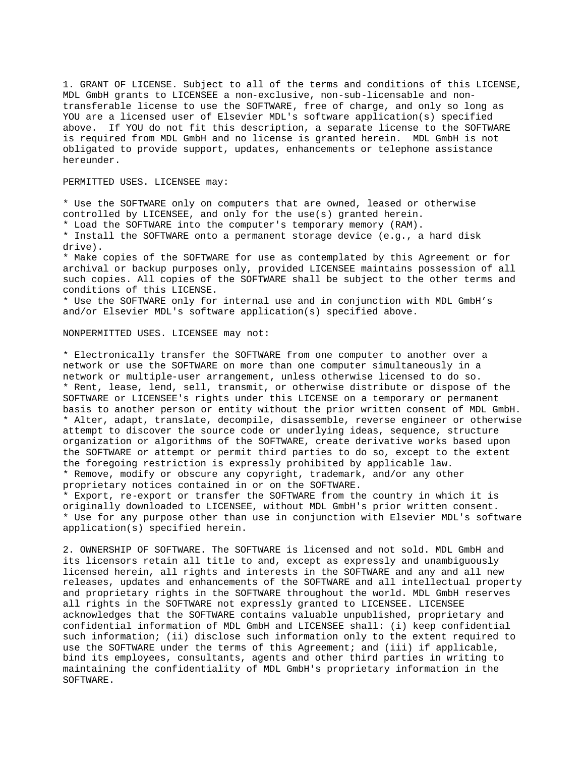1. GRANT OF LICENSE. Subject to all of the terms and conditions of this LICENSE, MDL GmbH grants to LICENSEE a non-exclusive, non-sub-licensable and nontransferable license to use the SOFTWARE, free of charge, and only so long as YOU are a licensed user of Elsevier MDL's software application(s) specified above. If YOU do not fit this description, a separate license to the SOFTWARE is required from MDL GmbH and no license is granted herein. MDL GmbH is not obligated to provide support, updates, enhancements or telephone assistance hereunder.

PERMITTED USES. LICENSEE may:

\* Use the SOFTWARE only on computers that are owned, leased or otherwise controlled by LICENSEE, and only for the use(s) granted herein.

\* Load the SOFTWARE into the computer's temporary memory (RAM).

\* Install the SOFTWARE onto a permanent storage device (e.g., a hard disk drive).

\* Make copies of the SOFTWARE for use as contemplated by this Agreement or for archival or backup purposes only, provided LICENSEE maintains possession of all such copies. All copies of the SOFTWARE shall be subject to the other terms and conditions of this LICENSE.

\* Use the SOFTWARE only for internal use and in conjunction with MDL GmbH's and/or Elsevier MDL's software application(s) specified above.

## NONPERMITTED USES. LICENSEE may not:

\* Electronically transfer the SOFTWARE from one computer to another over a network or use the SOFTWARE on more than one computer simultaneously in a network or multiple-user arrangement, unless otherwise licensed to do so. \* Rent, lease, lend, sell, transmit, or otherwise distribute or dispose of the SOFTWARE or LICENSEE's rights under this LICENSE on a temporary or permanent basis to another person or entity without the prior written consent of MDL GmbH. \* Alter, adapt, translate, decompile, disassemble, reverse engineer or otherwise attempt to discover the source code or underlying ideas, sequence, structure organization or algorithms of the SOFTWARE, create derivative works based upon the SOFTWARE or attempt or permit third parties to do so, except to the extent the foregoing restriction is expressly prohibited by applicable law. \* Remove, modify or obscure any copyright, trademark, and/or any other proprietary notices contained in or on the SOFTWARE.

\* Export, re-export or transfer the SOFTWARE from the country in which it is originally downloaded to LICENSEE, without MDL GmbH's prior written consent. \* Use for any purpose other than use in conjunction with Elsevier MDL's software application(s) specified herein.

2. OWNERSHIP OF SOFTWARE. The SOFTWARE is licensed and not sold. MDL GmbH and its licensors retain all title to and, except as expressly and unambiguously licensed herein, all rights and interests in the SOFTWARE and any and all new releases, updates and enhancements of the SOFTWARE and all intellectual property and proprietary rights in the SOFTWARE throughout the world. MDL GmbH reserves all rights in the SOFTWARE not expressly granted to LICENSEE. LICENSEE acknowledges that the SOFTWARE contains valuable unpublished, proprietary and confidential information of MDL GmbH and LICENSEE shall: (i) keep confidential such information; (ii) disclose such information only to the extent required to use the SOFTWARE under the terms of this Agreement; and (iii) if applicable, bind its employees, consultants, agents and other third parties in writing to maintaining the confidentiality of MDL GmbH's proprietary information in the SOFTWARE.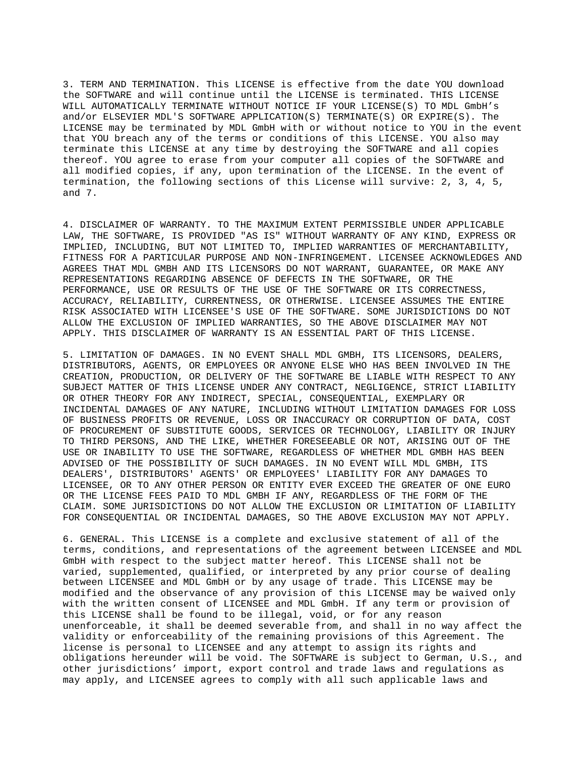3. TERM AND TERMINATION. This LICENSE is effective from the date YOU download the SOFTWARE and will continue until the LICENSE is terminated. THIS LICENSE WILL AUTOMATICALLY TERMINATE WITHOUT NOTICE IF YOUR LICENSE(S) TO MDL GmbH's and/or ELSEVIER MDL'S SOFTWARE APPLICATION(S) TERMINATE(S) OR EXPIRE(S). The LICENSE may be terminated by MDL GmbH with or without notice to YOU in the event that YOU breach any of the terms or conditions of this LICENSE. YOU also may terminate this LICENSE at any time by destroying the SOFTWARE and all copies thereof. YOU agree to erase from your computer all copies of the SOFTWARE and all modified copies, if any, upon termination of the LICENSE. In the event of termination, the following sections of this License will survive: 2, 3, 4, 5, and 7.

4. DISCLAIMER OF WARRANTY. TO THE MAXIMUM EXTENT PERMISSIBLE UNDER APPLICABLE LAW, THE SOFTWARE, IS PROVIDED "AS IS" WITHOUT WARRANTY OF ANY KIND, EXPRESS OR IMPLIED, INCLUDING, BUT NOT LIMITED TO, IMPLIED WARRANTIES OF MERCHANTABILITY, FITNESS FOR A PARTICULAR PURPOSE AND NON-INFRINGEMENT. LICENSEE ACKNOWLEDGES AND AGREES THAT MDL GMBH AND ITS LICENSORS DO NOT WARRANT, GUARANTEE, OR MAKE ANY REPRESENTATIONS REGARDING ABSENCE OF DEFECTS IN THE SOFTWARE, OR THE PERFORMANCE, USE OR RESULTS OF THE USE OF THE SOFTWARE OR ITS CORRECTNESS, ACCURACY, RELIABILITY, CURRENTNESS, OR OTHERWISE. LICENSEE ASSUMES THE ENTIRE RISK ASSOCIATED WITH LICENSEE'S USE OF THE SOFTWARE. SOME JURISDICTIONS DO NOT ALLOW THE EXCLUSION OF IMPLIED WARRANTIES, SO THE ABOVE DISCLAIMER MAY NOT APPLY. THIS DISCLAIMER OF WARRANTY IS AN ESSENTIAL PART OF THIS LICENSE.

5. LIMITATION OF DAMAGES. IN NO EVENT SHALL MDL GMBH, ITS LICENSORS, DEALERS, DISTRIBUTORS, AGENTS, OR EMPLOYEES OR ANYONE ELSE WHO HAS BEEN INVOLVED IN THE CREATION, PRODUCTION, OR DELIVERY OF THE SOFTWARE BE LIABLE WITH RESPECT TO ANY SUBJECT MATTER OF THIS LICENSE UNDER ANY CONTRACT, NEGLIGENCE, STRICT LIABILITY OR OTHER THEORY FOR ANY INDIRECT, SPECIAL, CONSEQUENTIAL, EXEMPLARY OR INCIDENTAL DAMAGES OF ANY NATURE, INCLUDING WITHOUT LIMITATION DAMAGES FOR LOSS OF BUSINESS PROFITS OR REVENUE, LOSS OR INACCURACY OR CORRUPTION OF DATA, COST OF PROCUREMENT OF SUBSTITUTE GOODS, SERVICES OR TECHNOLOGY, LIABILITY OR INJURY TO THIRD PERSONS, AND THE LIKE, WHETHER FORESEEABLE OR NOT, ARISING OUT OF THE USE OR INABILITY TO USE THE SOFTWARE, REGARDLESS OF WHETHER MDL GMBH HAS BEEN ADVISED OF THE POSSIBILITY OF SUCH DAMAGES. IN NO EVENT WILL MDL GMBH, ITS DEALERS', DISTRIBUTORS' AGENTS' OR EMPLOYEES' LIABILITY FOR ANY DAMAGES TO LICENSEE, OR TO ANY OTHER PERSON OR ENTITY EVER EXCEED THE GREATER OF ONE EURO OR THE LICENSE FEES PAID TO MDL GMBH IF ANY, REGARDLESS OF THE FORM OF THE CLAIM. SOME JURISDICTIONS DO NOT ALLOW THE EXCLUSION OR LIMITATION OF LIABILITY FOR CONSEQUENTIAL OR INCIDENTAL DAMAGES, SO THE ABOVE EXCLUSION MAY NOT APPLY.

6. GENERAL. This LICENSE is a complete and exclusive statement of all of the terms, conditions, and representations of the agreement between LICENSEE and MDL GmbH with respect to the subject matter hereof. This LICENSE shall not be varied, supplemented, qualified, or interpreted by any prior course of dealing between LICENSEE and MDL GmbH or by any usage of trade. This LICENSE may be modified and the observance of any provision of this LICENSE may be waived only with the written consent of LICENSEE and MDL GmbH. If any term or provision of this LICENSE shall be found to be illegal, void, or for any reason unenforceable, it shall be deemed severable from, and shall in no way affect the validity or enforceability of the remaining provisions of this Agreement. The license is personal to LICENSEE and any attempt to assign its rights and obligations hereunder will be void. The SOFTWARE is subject to German, U.S., and other jurisdictions' import, export control and trade laws and regulations as may apply, and LICENSEE agrees to comply with all such applicable laws and